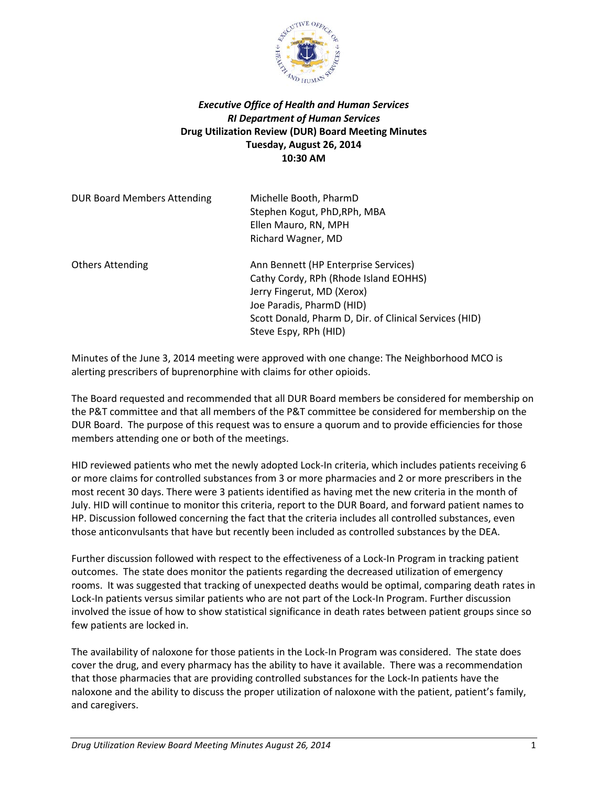

## *Executive Office of Health and Human Services RI Department of Human Services* **Drug Utilization Review (DUR) Board Meeting Minutes Tuesday, August 26, 2014 10:30 AM**

| <b>DUR Board Members Attending</b> | Michelle Booth, PharmD<br>Stephen Kogut, PhD, RPh, MBA<br>Ellen Mauro, RN, MPH<br>Richard Wagner, MD                                                                                                                        |
|------------------------------------|-----------------------------------------------------------------------------------------------------------------------------------------------------------------------------------------------------------------------------|
| <b>Others Attending</b>            | Ann Bennett (HP Enterprise Services)<br>Cathy Cordy, RPh (Rhode Island EOHHS)<br>Jerry Fingerut, MD (Xerox)<br>Joe Paradis, PharmD (HID)<br>Scott Donald, Pharm D, Dir. of Clinical Services (HID)<br>Steve Espy, RPh (HID) |

Minutes of the June 3, 2014 meeting were approved with one change: The Neighborhood MCO is alerting prescribers of buprenorphine with claims for other opioids.

The Board requested and recommended that all DUR Board members be considered for membership on the P&T committee and that all members of the P&T committee be considered for membership on the DUR Board. The purpose of this request was to ensure a quorum and to provide efficiencies for those members attending one or both of the meetings.

HID reviewed patients who met the newly adopted Lock-In criteria, which includes patients receiving 6 or more claims for controlled substances from 3 or more pharmacies and 2 or more prescribers in the most recent 30 days. There were 3 patients identified as having met the new criteria in the month of July. HID will continue to monitor this criteria, report to the DUR Board, and forward patient names to HP. Discussion followed concerning the fact that the criteria includes all controlled substances, even those anticonvulsants that have but recently been included as controlled substances by the DEA.

Further discussion followed with respect to the effectiveness of a Lock-In Program in tracking patient outcomes. The state does monitor the patients regarding the decreased utilization of emergency rooms. It was suggested that tracking of unexpected deaths would be optimal, comparing death rates in Lock-In patients versus similar patients who are not part of the Lock-In Program. Further discussion involved the issue of how to show statistical significance in death rates between patient groups since so few patients are locked in.

The availability of naloxone for those patients in the Lock-In Program was considered. The state does cover the drug, and every pharmacy has the ability to have it available. There was a recommendation that those pharmacies that are providing controlled substances for the Lock-In patients have the naloxone and the ability to discuss the proper utilization of naloxone with the patient, patient's family, and caregivers.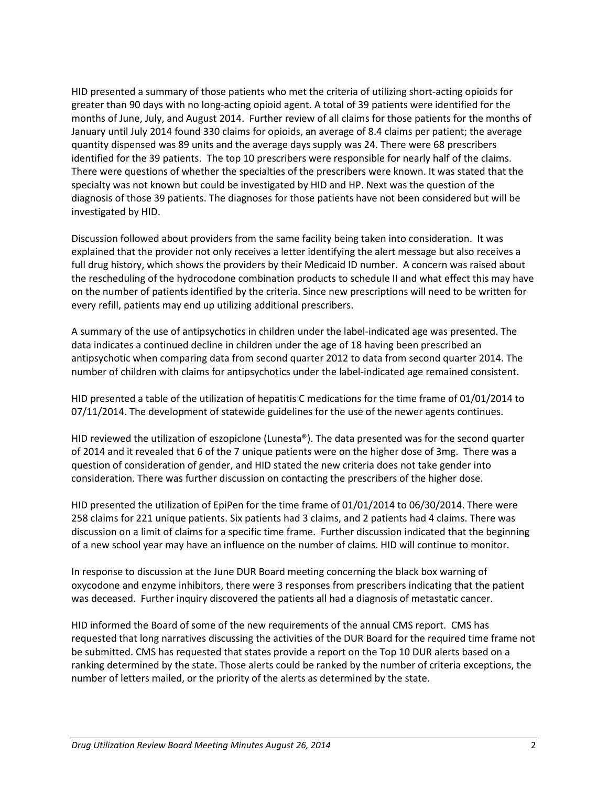HID presented a summary of those patients who met the criteria of utilizing short-acting opioids for greater than 90 days with no long-acting opioid agent. A total of 39 patients were identified for the months of June, July, and August 2014. Further review of all claims for those patients for the months of January until July 2014 found 330 claims for opioids, an average of 8.4 claims per patient; the average quantity dispensed was 89 units and the average days supply was 24. There were 68 prescribers identified for the 39 patients. The top 10 prescribers were responsible for nearly half of the claims. There were questions of whether the specialties of the prescribers were known. It was stated that the specialty was not known but could be investigated by HID and HP. Next was the question of the diagnosis of those 39 patients. The diagnoses for those patients have not been considered but will be investigated by HID.

Discussion followed about providers from the same facility being taken into consideration. It was explained that the provider not only receives a letter identifying the alert message but also receives a full drug history, which shows the providers by their Medicaid ID number. A concern was raised about the rescheduling of the hydrocodone combination products to schedule II and what effect this may have on the number of patients identified by the criteria. Since new prescriptions will need to be written for every refill, patients may end up utilizing additional prescribers.

A summary of the use of antipsychotics in children under the label-indicated age was presented. The data indicates a continued decline in children under the age of 18 having been prescribed an antipsychotic when comparing data from second quarter 2012 to data from second quarter 2014. The number of children with claims for antipsychotics under the label-indicated age remained consistent.

HID presented a table of the utilization of hepatitis C medications for the time frame of 01/01/2014 to 07/11/2014. The development of statewide guidelines for the use of the newer agents continues.

HID reviewed the utilization of eszopiclone (Lunesta®). The data presented was for the second quarter of 2014 and it revealed that 6 of the 7 unique patients were on the higher dose of 3mg. There was a question of consideration of gender, and HID stated the new criteria does not take gender into consideration. There was further discussion on contacting the prescribers of the higher dose.

HID presented the utilization of EpiPen for the time frame of 01/01/2014 to 06/30/2014. There were 258 claims for 221 unique patients. Six patients had 3 claims, and 2 patients had 4 claims. There was discussion on a limit of claims for a specific time frame. Further discussion indicated that the beginning of a new school year may have an influence on the number of claims. HID will continue to monitor.

In response to discussion at the June DUR Board meeting concerning the black box warning of oxycodone and enzyme inhibitors, there were 3 responses from prescribers indicating that the patient was deceased. Further inquiry discovered the patients all had a diagnosis of metastatic cancer.

HID informed the Board of some of the new requirements of the annual CMS report. CMS has requested that long narratives discussing the activities of the DUR Board for the required time frame not be submitted. CMS has requested that states provide a report on the Top 10 DUR alerts based on a ranking determined by the state. Those alerts could be ranked by the number of criteria exceptions, the number of letters mailed, or the priority of the alerts as determined by the state.